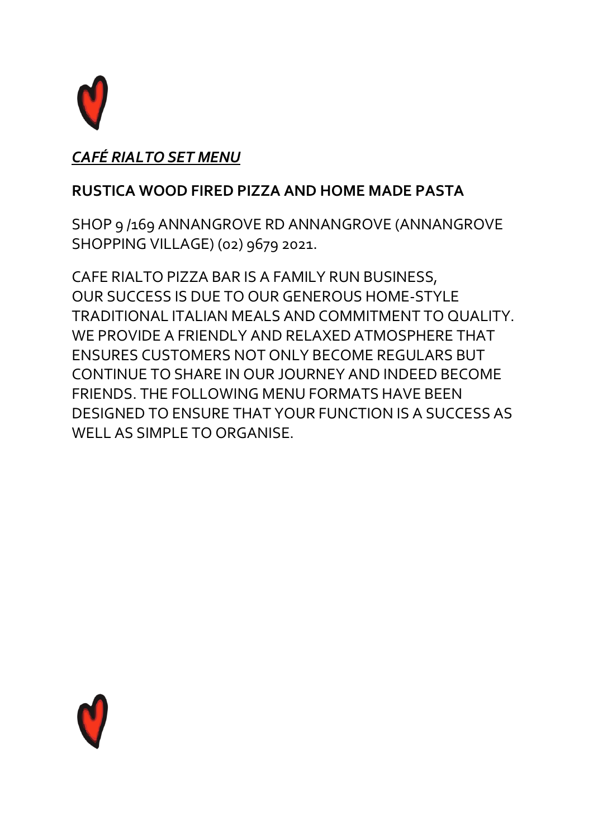

### *CAFÉ RIALTO SET MENU*

### **RUSTICA WOOD FIRED PIZZA AND HOME MADE PASTA**

SHOP 9 /169 ANNANGROVE RD ANNANGROVE (ANNANGROVE SHOPPING VILLAGE) (02) 9679 2021.

CAFE RIALTO PIZZA BAR IS A FAMILY RUN BUSINESS, OUR SUCCESS IS DUE TO OUR GENEROUS HOME-STYLE TRADITIONAL ITALIAN MEALS AND COMMITMENT TO QUALITY. WE PROVIDE A FRIENDLY AND RELAXED ATMOSPHERE THAT ENSURES CUSTOMERS NOT ONLY BECOME REGULARS BUT CONTINUE TO SHARE IN OUR JOURNEY AND INDEED BECOME FRIENDS. THE FOLLOWING MENU FORMATS HAVE BEEN DESIGNED TO ENSURE THAT YOUR FUNCTION IS A SUCCESS AS WELL AS SIMPLE TO ORGANISE.

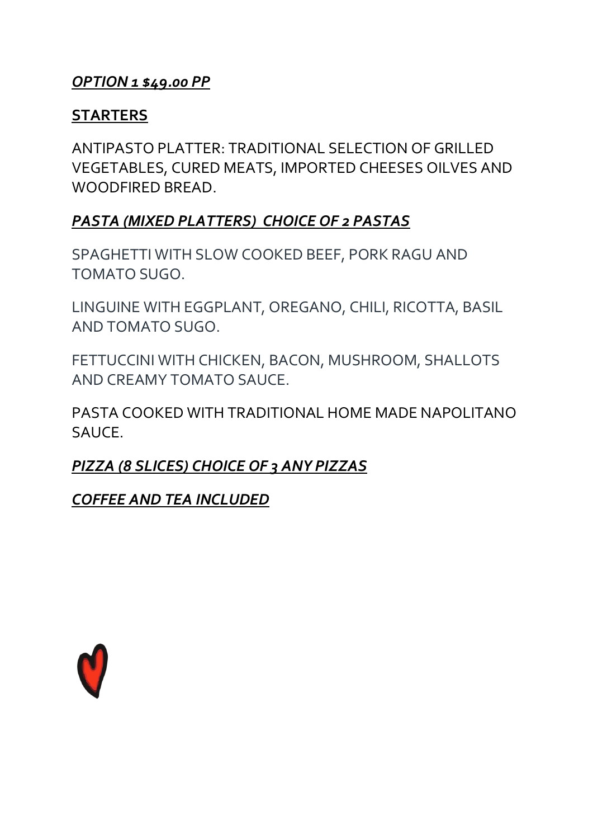#### *OPTION 1 \$49.00 PP*

#### **STARTERS**

ANTIPASTO PLATTER: TRADITIONAL SELECTION OF GRILLED VEGETABLES, CURED MEATS, IMPORTED CHEESES OILVES AND WOODFIRED BREAD.

#### *PASTA (MIXED PLATTERS) CHOICE OF 2 PASTAS*

SPAGHETTI WITH SLOW COOKED BEEF, PORK RAGU AND TOMATO SUGO.

LINGUINE WITH EGGPLANT, OREGANO, CHILI, RICOTTA, BASIL AND TOMATO SUGO.

FETTUCCINI WITH CHICKEN, BACON, MUSHROOM, SHALLOTS AND CREAMY TOMATO SAUCE.

PASTA COOKED WITH TRADITIONAL HOME MADE NAPOLITANO SAUCE.

### *PIZZA (8 SLICES) CHOICE OF 3 ANY PIZZAS*

*COFFEE AND TEA INCLUDED*

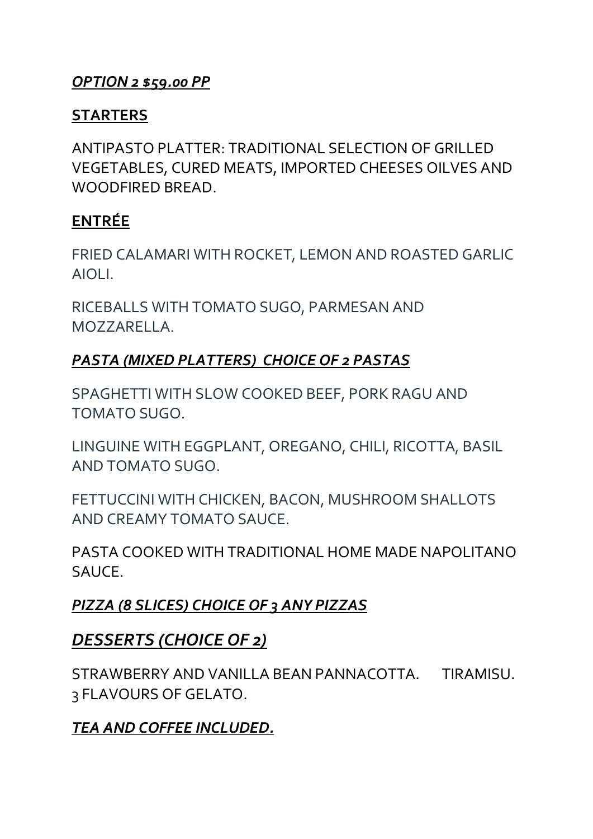### *OPTION 2 \$59.00 PP*

#### **STARTERS**

ANTIPASTO PLATTER: TRADITIONAL SELECTION OF GRILLED VEGETABLES, CURED MEATS, IMPORTED CHEESES OILVES AND WOODFIRED BREAD.

### **ENTRÉE**

FRIED CALAMARI WITH ROCKET, LEMON AND ROASTED GARLIC AIOLI.

RICEBALLS WITH TOMATO SUGO, PARMESAN AND MOZZARELLA.

### *PASTA (MIXED PLATTERS) CHOICE OF 2 PASTAS*

SPAGHETTI WITH SLOW COOKED BEEF, PORK RAGU AND TOMATO SUGO.

LINGUINE WITH EGGPLANT, OREGANO, CHILI, RICOTTA, BASIL AND TOMATO SUGO.

FETTUCCINI WITH CHICKEN, BACON, MUSHROOM SHALLOTS AND CREAMY TOMATO SAUCE.

PASTA COOKED WITH TRADITIONAL HOME MADE NAPOLITANO SAUCE.

# *PIZZA (8 SLICES) CHOICE OF 3 ANY PIZZAS*

### *DESSERTS (CHOICE OF 2)*

STRAWBERRY AND VANILLA BEAN PANNACOTTA. TIRAMISU. 3 FLAVOURS OF GELATO.

# *TEA AND COFFEE INCLUDED.*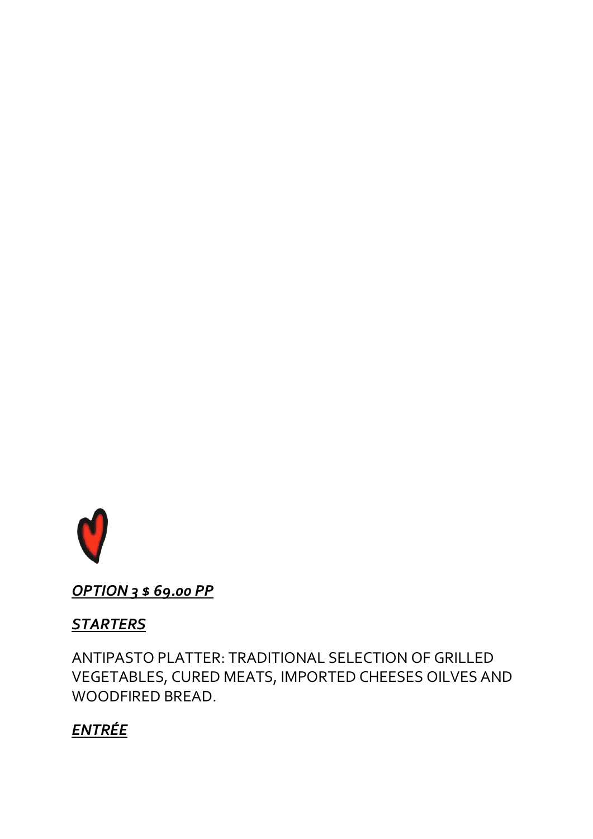

OPTION 3 \$ 69.00 PP

# **STARTERS**

ANTIPASTO PLATTER: TRADITIONAL SELECTION OF GRILLED VEGETABLES, CURED MEATS, IMPORTED CHEESES OILVES AND WOODFIRED BREAD.

# **ENTRÉE**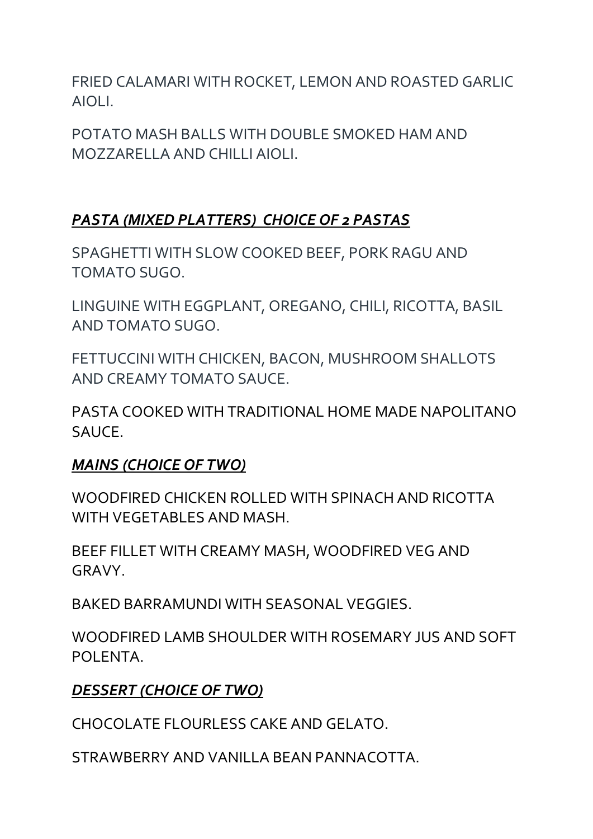FRIED CALAMARI WITH ROCKET, LEMON AND ROASTED GARLIC AIOLI.

POTATO MASH BALLS WITH DOUBLE SMOKED HAM AND MOZZARELLA AND CHILLI AIOLI.

# *PASTA (MIXED PLATTERS) CHOICE OF 2 PASTAS*

SPAGHETTI WITH SLOW COOKED BEEF, PORK RAGU AND TOMATO SUGO.

LINGUINE WITH EGGPLANT, OREGANO, CHILI, RICOTTA, BASIL AND TOMATO SUGO.

FETTUCCINI WITH CHICKEN, BACON, MUSHROOM SHALLOTS AND CREAMY TOMATO SAUCE.

PASTA COOKED WITH TRADITIONAL HOME MADE NAPOLITANO SAUCE.

#### *MAINS (CHOICE OF TWO)*

WOODFIRED CHICKEN ROLLED WITH SPINACH AND RICOTTA WITH VEGETABLES AND MASH.

BEEF FILLET WITH CREAMY MASH, WOODFIRED VEG AND GRAVY.

BAKED BARRAMUNDI WITH SEASONAL VEGGIES.

WOODFIRED LAMB SHOULDER WITH ROSEMARY JUS AND SOFT POLENTA.

### *DESSERT (CHOICE OF TWO)*

CHOCOLATE FLOURLESS CAKE AND GELATO.

STRAWBERRY AND VANILLA BEAN PANNACOTTA.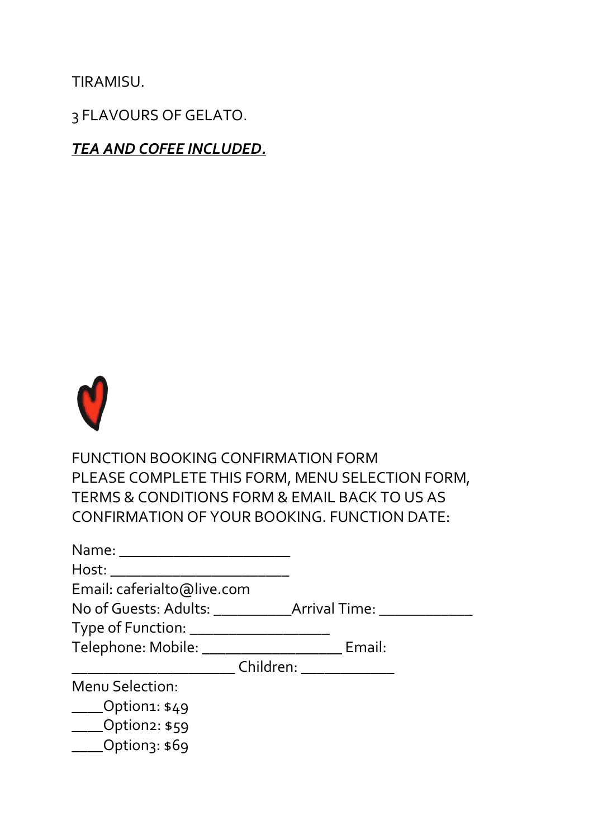TIRAMISU.

3 FLAVOURS OF GELATO.

*TEA AND COFEE INCLUDED.*



FUNCTION BOOKING CONFIRMATION FORM PLEASE COMPLETE THIS FORM, MENU SELECTION FORM, TERMS & CONDITIONS FORM & EMAIL BACK TO US AS CONFIRMATION OF YOUR BOOKING. FUNCTION DATE:

| Host:                                                                            |                             |
|----------------------------------------------------------------------------------|-----------------------------|
| Email: caferialto@live.com                                                       |                             |
| Type of Function: __<br>Telephone: Mobile: _                                     | Email:                      |
|                                                                                  | Children: New York Children |
| Menu Selection:<br>$\_\_$ Option1: \$49<br>$\_\_$ Option2: \$59<br>Option3: \$69 |                             |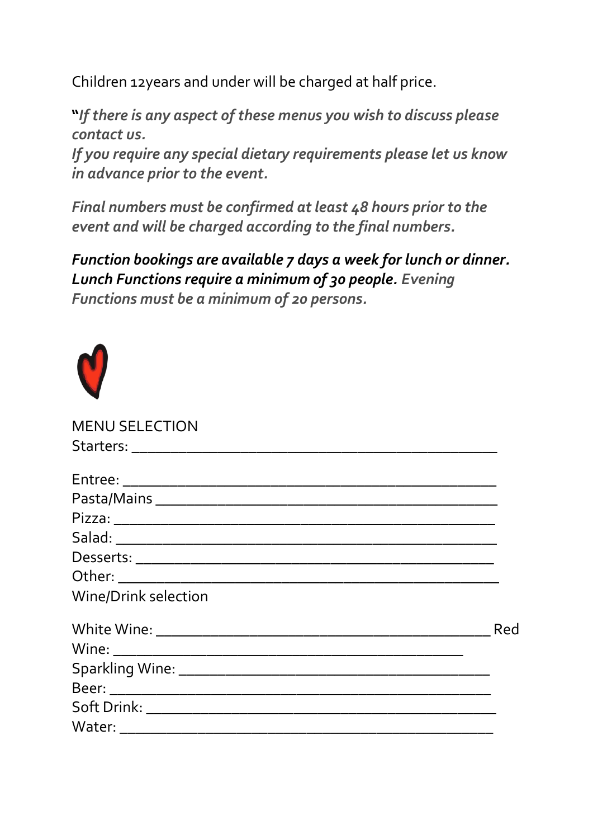Children 12years and under will be charged at half price.

**"***If there is any aspect of these menus you wish to discuss please contact us.*

*If you require any special dietary requirements please let us know in advance prior to the event.* 

*Final numbers must be confirmed at least 48 hours prior to the event and will be charged according to the final numbers.* 

*Function bookings are available 7 days a week for lunch or dinner. Lunch Functions require a minimum of 30 people. Evening Functions must be a minimum of 20 persons.* 



| <b>MENU SELECTION</b>       |     |
|-----------------------------|-----|
|                             |     |
|                             |     |
|                             |     |
|                             |     |
|                             |     |
|                             |     |
|                             |     |
| <b>Wine/Drink selection</b> |     |
|                             | Red |
|                             |     |
|                             |     |
|                             |     |
|                             |     |
|                             |     |